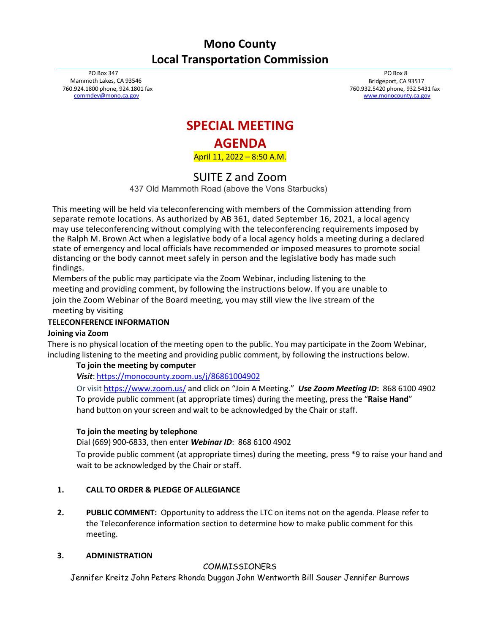# **Mono County Local Transportation Commission**

PO Box 347 Mammoth Lakes, CA 93546 760.924.1800 phone, 924.1801 fax [commdev@mono.ca.gov](mailto:commdev@mono.ca.gov)

PO Box 8 Bridgeport, CA 93517 760.932.5420 phone, 932.5431 fax [www.monocounty.ca.gov](http://www.monocounty.ca.gov/)

## **SPECIAL MEETING**

## **AGENDA**

April 11, 2022 – 8:50 A.M.

SUITE Z and Zoom

437 Old Mammoth Road (above the Vons Starbucks)

This meeting will be held via teleconferencing with members of the Commission attending from separate remote locations. As authorized by AB 361, dated September 16, 2021, a local agency may use teleconferencing without complying with the teleconferencing requirements imposed by the Ralph M. Brown Act when a legislative body of a local agency holds a meeting during a declared state of emergency and local officials have recommended or imposed measures to promote social distancing or the body cannot meet safely in person and the legislative body has made such findings.

Members of the public may participate via the Zoom Webinar, including listening to the meeting and providing comment, by following the instructions below. If you are unable to join the Zoom Webinar of the Board meeting, you may still view the live stream of the meeting by visiting

## **TELECONFERENCE INFORMATION**

#### **Joining via Zoom**

There is no physical location of the meeting open to the public. You may participate in the Zoom Webinar, including listening to the meeting and providing public comment, by following the instructions below.

## **To join the meeting by computer**

*Visit*: <https://monocounty.zoom.us/j/86861004902>

Or visi[t https://www.zoom.us/](https://www.zoom.us/) and click on "Join A Meeting." *Use Zoom Meeting ID***:** 868 6100 4902 To provide public comment (at appropriate times) during the meeting, press the "**Raise Hand**" hand button on your screen and wait to be acknowledged by the Chair or staff.

#### **To join the meeting by telephone**

Dial (669) 900-6833, then enter *Webinar ID*: 868 6100 4902

To provide public comment (at appropriate times) during the meeting, press \*9 to raise your hand and wait to be acknowledged by the Chair or staff.

## **1. CALL TO ORDER & PLEDGE OF ALLEGIANCE**

**2. PUBLIC COMMENT:** Opportunity to address the LTC on items not on the agenda. Please refer to the Teleconference information section to determine how to make public comment for this meeting.

#### **3. ADMINISTRATION**

## COMMISSIONERS

Jennifer Kreitz John Peters Rhonda Duggan John Wentworth Bill Sauser Jennifer Burrows